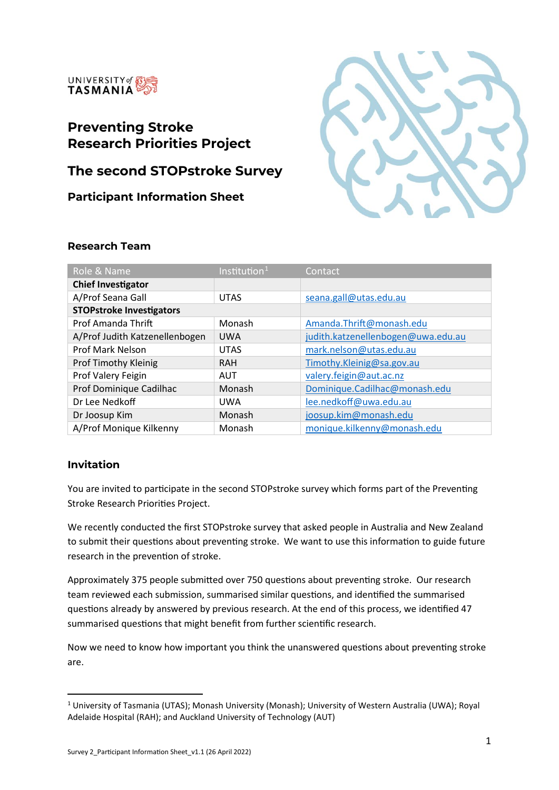

# **Preventing Stroke Research Priorities Project**

# **The second STOPstroke Survey**

**Participant Information Sheet**



# **Research Team**

| Role & Name                     | Institution $1$ | Contact                            |
|---------------------------------|-----------------|------------------------------------|
| <b>Chief Investigator</b>       |                 |                                    |
| A/Prof Seana Gall               | <b>UTAS</b>     | seana.gall@utas.edu.au             |
| <b>STOPstroke Investigators</b> |                 |                                    |
| Prof Amanda Thrift              | Monash          | Amanda.Thrift@monash.edu           |
| A/Prof Judith Katzenellenbogen  | <b>UWA</b>      | judith.katzenellenbogen@uwa.edu.au |
| <b>Prof Mark Nelson</b>         | <b>UTAS</b>     | mark.nelson@utas.edu.au            |
| <b>Prof Timothy Kleinig</b>     | <b>RAH</b>      | Timothy.Kleinig@sa.gov.au          |
| Prof Valery Feigin              | AUT             | valery.feigin@aut.ac.nz            |
| Prof Dominique Cadilhac         | Monash          | Dominique.Cadilhac@monash.edu      |
| Dr Lee Nedkoff                  | <b>UWA</b>      | lee.nedkoff@uwa.edu.au             |
| Dr Joosup Kim                   | Monash          | joosup.kim@monash.edu              |
| A/Prof Monique Kilkenny         | Monash          | monique.kilkenny@monash.edu        |

#### **Invitation**

You are invited to participate in the second STOPstroke survey which forms part of the Preventing Stroke Research Priorities Project.

We recently conducted the first STOPstroke survey that asked people in Australia and New Zealand to submit their questions about preventing stroke. We want to use this information to guide future research in the prevention of stroke.

Approximately 375 people submitted over 750 questions about preventing stroke. Our research team reviewed each submission, summarised similar questions, and identified the summarised questions already by answered by previous research. At the end of this process, we identified 47 summarised questions that might benefit from further scientific research.

Now we need to know how important you think the unanswered questions about preventing stroke are.

<span id="page-0-0"></span><sup>1</sup> University of Tasmania (UTAS); Monash University (Monash); University of Western Australia (UWA); Royal Adelaide Hospital (RAH); and Auckland University of Technology (AUT)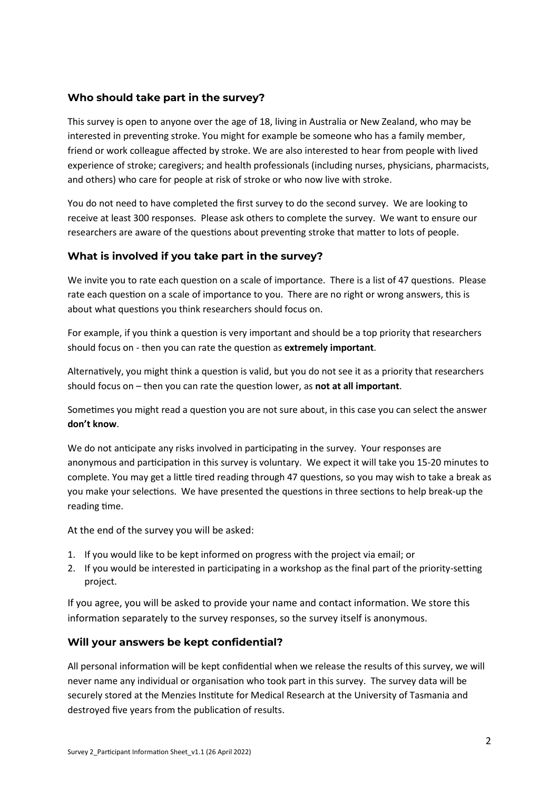# **Who should take part in the survey?**

This survey is open to anyone over the age of 18, living in Australia or New Zealand, who may be interested in preventing stroke. You might for example be someone who has a family member, friend or work colleague affected by stroke. We are also interested to hear from people with lived experience of stroke; caregivers; and health professionals (including nurses, physicians, pharmacists, and others) who care for people at risk of stroke or who now live with stroke.

You do not need to have completed the first survey to do the second survey. We are looking to receive at least 300 responses. Please ask others to complete the survey. We want to ensure our researchers are aware of the questions about preventing stroke that matter to lots of people.

# **What is involved if you take part in the survey?**

We invite you to rate each question on a scale of importance. There is a list of 47 questions. Please rate each question on a scale of importance to you. There are no right or wrong answers, this is about what questions you think researchers should focus on.

For example, if you think a question is very important and should be a top priority that researchers should focus on - then you can rate the question as extremely important.

Alternatively, you might think a question is valid, but you do not see it as a priority that researchers should focus on – then you can rate the question lower, as **not at all important**.

Sometimes you might read a question you are not sure about, in this case you can select the answer **don't know**.

We do not anticipate any risks involved in participating in the survey. Your responses are anonymous and participation in this survey is voluntary. We expect it will take you 15-20 minutes to complete. You may get a little tired reading through 47 questions, so you may wish to take a break as you make your selections. We have presented the questions in three sections to help break-up the reading time.

At the end of the survey you will be asked:

- 1. If you would like to be kept informed on progress with the project via email; or
- 2. If you would be interested in participating in a workshop as the final part of the priority-setting project.

If you agree, you will be asked to provide your name and contact information. We store this information separately to the survey responses, so the survey itself is anonymous.

#### **Will your answers be kept confidential?**

All personal information will be kept confidential when we release the results of this survey, we will never name any individual or organisation who took part in this survey. The survey data will be securely stored at the Menzies Institute for Medical Research at the University of Tasmania and destroyed five years from the publication of results.